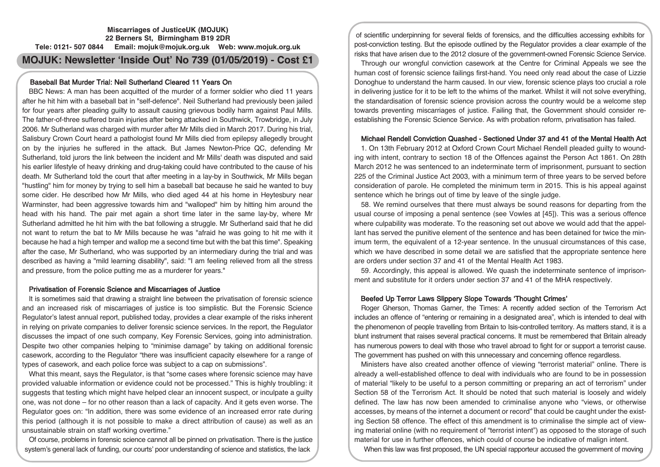# **Miscarriages of JusticeUK (MOJUK) 22 Berners St, Birmingham B19 2DR Tele: 0121- 507 0844 Email: mojuk@mojuk.org.uk Web: www.mojuk.org.uk MOJUK: Newsletter 'Inside Out' No 739 (01/05/2019) - Cost £1**

## Baseball Bat Murder Trial: Neil Sutherland Cleared 11 Years On

BBC News: A man has been acquitted of the murder of a former soldier who died 11 years after he hit him with a baseball bat in "self-defence". Neil Sutherland had previously been jailed for four years after pleading guilty to assault causing grievous bodily harm against Paul Mills. The father-of-three suffered brain injuries after being attacked in Southwick, Trowbridge, in July 2006. Mr Sutherland was charged with murder after Mr Mills died in March 2017. During his trial, Salisbury Crown Court heard a pathologist found Mr Mills died from epilepsy allegedly brought on by the injuries he suffered in the attack. But James Newton-Price QC, defending Mr Sutherland, told jurors the link between the incident and Mr Mills' death was disputed and said his earlier lifestyle of heavy drinking and drug-taking could have contributed to the cause of his death. Mr Sutherland told the court that after meeting in a lay-by in Southwick, Mr Mills began "hustling" him for money by trying to sell him a baseball bat because he said he wanted to buy some cider. He described how Mr Mills, who died aged 44 at his home in Heytesbury near Warminster, had been aggressive towards him and "walloped" him by hitting him around the head with his hand. The pair met again a short time later in the same lay-by, where Mr Sutherland admitted he hit him with the bat following a struggle. Mr Sutherland said that he did not want to return the bat to Mr Mills because he was "afraid he was going to hit me with it because he had a high temper and wallop me a second time but with the bat this time". Speaking after the case, Mr Sutherland, who was supported by an intermediary during the trial and was described as having a "mild learning disability", said: "I am feeling relieved from all the stress and pressure, from the police putting me as a murderer for years."

### Privatisation of Forensic Science and Miscarriages of Justice

It is sometimes said that drawing a straight line between the privatisation of forensic science and an increased risk of miscarriages of justice is too simplistic. But the Forensic Science Regulator's latest annual report, published today, provides a clear example of the risks inherent in relying on private companies to deliver forensic science services. In the report, the Regulator discusses the impact of one such company, Key Forensic Services, going into administration. Despite two other companies helping to "minimise damage" by taking on additional forensic casework, according to the Regulator "there was insufficient capacity elsewhere for a range of types of casework, and each police force was subject to a cap on submissions".

What this meant, says the Regulator, is that "some cases where forensic science may have provided valuable information or evidence could not be processed." This is highly troubling: it suggests that testing which might have helped clear an innocent suspect, or inculpate a guilty one, was not done – for no other reason than a lack of capacity. And it gets even worse. The Regulator goes on: "In addition, there was some evidence of an increased error rate during this period (although it is not possible to make a direct attribution of cause) as well as an unsustainable strain on staff working overtime."

Of course, problems in forensic science cannot all be pinned on privatisation. There is the justice system's general lack of funding, our courts' poor understanding of science and statistics, the lack

of scientific underpinning for several fields of forensics, and the difficulties accessing exhibits for post-conviction testing. But the episode outlined by the Regulator provides a clear example of the risks that have arisen due to the 2012 closure of the government-owned Forensic Science Service.

Through our wrongful conviction casework at the Centre for Criminal Appeals we see the human cost of forensic science failings first-hand. You need only read about the case of Lizzie Donoghue to understand the harm caused. In our view, forensic science plays too crucial a role in delivering justice for it to be left to the whims of the market. Whilst it will not solve everything, the standardisation of forensic science provision across the country would be a welcome step towards preventing miscarriages of justice. Failing that, the Government should consider reestablishing the Forensic Science Service. As with probation reform, privatisation has failed.

## Michael Rendell Conviction Quashed - Sectioned Under 37 and 41 of the Mental Health Act

1. On 13th February 2012 at Oxford Crown Court Michael Rendell pleaded guilty to wounding with intent, contrary to section 18 of the Offences against the Person Act 1861. On 28th March 2012 he was sentenced to an indeterminate term of imprisonment, pursuant to section 225 of the Criminal Justice Act 2003, with a minimum term of three years to be served before consideration of parole. He completed the minimum term in 2015. This is his appeal against sentence which he brings out of time by leave of the single judge.

58. We remind ourselves that there must always be sound reasons for departing from the usual course of imposing a penal sentence (see Vowles at [45]). This was a serious offence where culpability was moderate. To the reasoning set out above we would add that the appellant has served the punitive element of the sentence and has been detained for twice the minimum term, the equivalent of a 12-year sentence. In the unusual circumstances of this case, which we have described in some detail we are satisfied that the appropriate sentence here are orders under section 37 and 41 of the Mental Health Act 1983.

59. Accordingly, this appeal is allowed. We quash the indeterminate sentence of imprisonment and substitute for it orders under section 37 and 41 of the MHA respectively.

### Beefed Up Terror Laws Slippery Slope Towards 'Thought Crimes'

Roger Gherson, Thomas Garner, the Times: A recently added section of the Terrorism Act includes an offence of "entering or remaining in a designated area", which is intended to deal with the phenomenon of people travelling from Britain to Isis-controlled territory. As matters stand, it is a blunt instrument that raises several practical concerns. It must be remembered that Britain already has numerous powers to deal with those who travel abroad to fight for or support a terrorist cause. The government has pushed on with this unnecessary and concerning offence regardless.

Ministers have also created another offence of viewing "terrorist material" online. There is already a well-established offence to deal with individuals who are found to be in possession of material "likely to be useful to a person committing or preparing an act of terrorism" under Section 58 of the Terrorism Act. It should be noted that such material is loosely and widely defined. The law has now been amended to criminalise anyone who "views, or otherwise accesses, by means of the internet a document or record" that could be caught under the existing Section 58 offence. The effect of this amendment is to criminalise the simple act of viewing material online (with no requirement of "terrorist intent") as opposed to the storage of such material for use in further offences, which could of course be indicative of malign intent.

When this law was first proposed, the UN special rapporteur accused the government of moving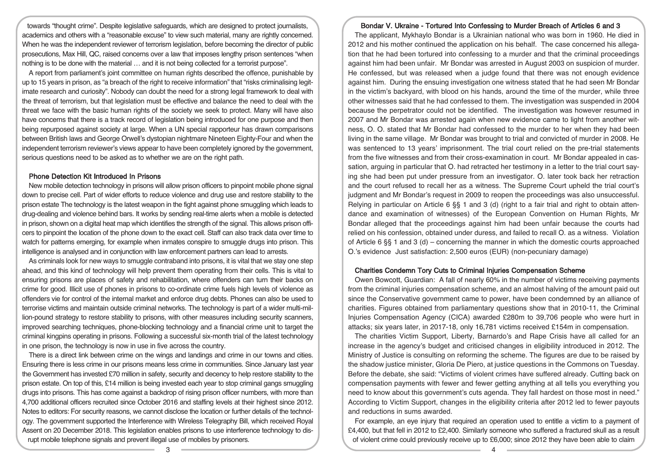towards "thought crime". Despite legislative safeguards, which are designed to protect journalists, academics and others with a "reasonable excuse" to view such material, many are rightly concerned. When he was the independent reviewer of terrorism legislation, before becoming the director of public prosecutions, Max Hill, QC, raised concerns over a law that imposes lengthy prison sentences "when nothing is to be done with the material … and it is not being collected for a terrorist purpose".

A report from parliament's joint committee on human rights described the offence, punishable by up to 15 years in prison, as "a breach of the right to receive information" that "risks criminalising legitimate research and curiosity". Nobody can doubt the need for a strong legal framework to deal with the threat of terrorism, but that legislation must be effective and balance the need to deal with the threat we face with the basic human rights of the society we seek to protect. Many will have also have concerns that there is a track record of legislation being introduced for one purpose and then being repurposed against society at large. When a UN special rapporteur has drawn comparisons between British laws and George Orwell's dystopian nightmare Nineteen Eighty-Four and when the independent terrorism reviewer's views appear to have been completely ignored by the government, serious questions need to be asked as to whether we are on the right path.

#### Phone Detection Kit Introduced In Prisons

New mobile detection technology in prisons will allow prison officers to pinpoint mobile phone signal down to precise cell. Part of wider efforts to reduce violence and drug use and restore stability to the prison estate The technology is the latest weapon in the fight against phone smuggling which leads to drug-dealing and violence behind bars. It works by sending real-time alerts when a mobile is detected in prison, shown on a digital heat map which identifies the strength of the signal. This allows prison officers to pinpoint the location of the phone down to the exact cell. Staff can also track data over time to watch for patterns emerging, for example when inmates conspire to smuggle drugs into prison. This intelligence is analysed and in conjunction with law enforcement partners can lead to arrests.

As criminals look for new ways to smuggle contraband into prisons, it is vital that we stay one step ahead, and this kind of technology will help prevent them operating from their cells. This is vital to ensuring prisons are places of safety and rehabilitation, where offenders can turn their backs on crime for good. Illicit use of phones in prisons to co-ordinate crime fuels high levels of violence as offenders vie for control of the internal market and enforce drug debts. Phones can also be used to terrorise victims and maintain outside criminal networks. The technology is part of a wider multi-million-pound strategy to restore stability to prisons, with other measures including security scanners, improved searching techniques, phone-blocking technology and a financial crime unit to target the criminal kingpins operating in prisons. Following a successful six-month trial of the latest technology in one prison, the technology is now in use in five across the country.

There is a direct link between crime on the wings and landings and crime in our towns and cities. Ensuring there is less crime in our prisons means less crime in communities. Since January last year the Government has invested £70 million in safety, security and decency to help restore stability to the prison estate. On top of this, £14 million is being invested each year to stop criminal gangs smuggling drugs into prisons. This has come against a backdrop of rising prison officer numbers, with more than 4,700 additional officers recruited since October 2016 and staffing levels at their highest since 2012. Notes to editors: For security reasons, we cannot disclose the location or further details of the technology. The government supported the Interference with Wireless Telegraphy Bill, which received Royal Assent on 20 December 2018. This legislation enables prisons to use interference technology to disrupt mobile telephone signals and prevent illegal use of mobiles by prisoners.

#### Bondar V. Ukraine - Tortured Into Confessing to Murder Breach of Articles 6 and 3

The applicant, Mykhaylo Bondar is a Ukrainian national who was born in 1960. He died in 2012 and his mother continued the application on his behalf. The case concerned his allegation that he had been tortured into confessing to a murder and that the criminal proceedings against him had been unfair. Mr Bondar was arrested in August 2003 on suspicion of murder. He confessed, but was released when a judge found that there was not enough evidence against him. During the ensuing investigation one witness stated that he had seen Mr Bondar in the victim's backyard, with blood on his hands, around the time of the murder, while three other witnesses said that he had confessed to them. The investigation was suspended in 2004 because the perpetrator could not be identified. The investigation was however resumed in 2007 and Mr Bondar was arrested again when new evidence came to light from another witness, O. O. stated that Mr Bondar had confessed to the murder to her when they had been living in the same village. Mr Bondar was brought to trial and convicted of murder in 2008. He was sentenced to 13 years' imprisonment. The trial court relied on the pre-trial statements from the five witnesses and from their cross-examination in court. Mr Bondar appealed in cassation, arguing in particular that O. had retracted her testimony in a letter to the trial court saying she had been put under pressure from an investigator. O. later took back her retraction and the court refused to recall her as a witness. The Supreme Court upheld the trial court's judgment and Mr Bondar's request in 2009 to reopen the proceedings was also unsuccessful. Relying in particular on Article 6 §§ 1 and 3 (d) (right to a fair trial and right to obtain attendance and examination of witnesses) of the European Convention on Human Rights, Mr Bondar alleged that the proceedings against him had been unfair because the courts had relied on his confession, obtained under duress, and failed to recall O. as a witness. Violation of Article 6 §§ 1 and 3 (d) – concerning the manner in which the domestic courts approached O.'s evidence Just satisfaction: 2,500 euros (EUR) (non-pecuniary damage)

#### Charities Condemn Tory Cuts to Criminal Injuries Compensation Scheme

Owen Bowcott, Guardian: A fall of nearly 60% in the number of victims receiving payments from the criminal injuries compensation scheme, and an almost halving of the amount paid out since the Conservative government came to power, have been condemned by an alliance of charities. Figures obtained from parliamentary questions show that in 2010-11, the Criminal Injuries Compensation Agency (CICA) awarded £280m to 39,706 people who were hurt in attacks; six years later, in 2017-18, only 16,781 victims received £154m in compensation.

The charities Victim Support, Liberty, Barnardo's and Rape Crisis have all called for an increase in the agency's budget and criticised changes in eligibility introduced in 2012. The Ministry of Justice is consulting on reforming the scheme. The figures are due to be raised by the shadow justice minister, Gloria De Piero, at justice questions in the Commons on Tuesday. Before the debate, she said: "Victims of violent crimes have suffered already. Cutting back on compensation payments with fewer and fewer getting anything at all tells you everything you need to know about this government's cuts agenda. They fall hardest on those most in need." According to Victim Support, changes in the eligibility criteria after 2012 led to fewer payouts and reductions in sums awarded.

For example, an eye injury that required an operation used to entitle a victim to a payment of £4,400, but that fell in 2012 to £2,400. Similarly someone who suffered a fractured skull as a result of violent crime could previously receive up to £6,000; since 2012 they have been able to claim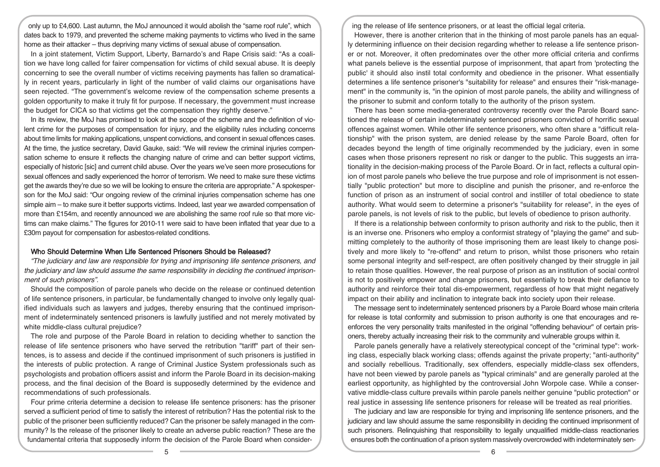only up to £4,600. Last autumn, the MoJ announced it would abolish the "same roof rule", which dates back to 1979, and prevented the scheme making payments to victims who lived in the same home as their attacker – thus depriving many victims of sexual abuse of compensation.

In a joint statement, Victim Support, Liberty, Barnardo's and Rape Crisis said: "As a coalition we have long called for fairer compensation for victims of child sexual abuse. It is deeply concerning to see the overall number of victims receiving payments has fallen so dramatically in recent years, particularly in light of the number of valid claims our organisations have seen rejected. "The government's welcome review of the compensation scheme presents a golden opportunity to make it truly fit for purpose. If necessary, the government must increase the budget for CICA so that victims get the compensation they rightly deserve."

In its review, the MoJ has promised to look at the scope of the scheme and the definition of violent crime for the purposes of compensation for injury, and the eligibility rules including concerns about time limits for making applications, unspent convictions, and consent in sexual offences cases. At the time, the justice secretary, David Gauke, said: "We will review the criminal injuries compensation scheme to ensure it reflects the changing nature of crime and can better support victims, especially of historic [sic] and current child abuse. Over the years we've seen more prosecutions for sexual offences and sadly experienced the horror of terrorism. We need to make sure these victims get the awards they're due so we will be looking to ensure the criteria are appropriate." A spokesperson for the MoJ said: "Our ongoing review of the criminal injuries compensation scheme has one simple aim – to make sure it better supports victims. Indeed, last year we awarded compensation of more than £154m, and recently announced we are abolishing the same roof rule so that more victims can make claims." The figures for 2010-11 were said to have been inflated that year due to a £30m payout for compensation for asbestos-related conditions.

#### Who Should Determine When Life Sentenced Prisoners Should be Released?

"The judiciary and law are responsible for trying and imprisoning life sentence prisoners, and the judiciary and law should assume the same responsibility in deciding the continued imprisonment of such prisoners".

Should the composition of parole panels who decide on the release or continued detention of life sentence prisoners, in particular, be fundamentally changed to involve only legally qualified individuals such as lawyers and judges, thereby ensuring that the continued imprisonment of indeterminately sentenced prisoners is lawfully justified and not merely motivated by white middle-class cultural prejudice?

The role and purpose of the Parole Board in relation to deciding whether to sanction the release of life sentence prisoners who have served the retribution "tariff" part of their sentences, is to assess and decide if the continued imprisonment of such prisoners is justified in the interests of public protection. A range of Criminal Justice System professionals such as psychologists and probation officers assist and inform the Parole Board in its decision-making process, and the final decision of the Board is supposedly determined by the evidence and recommendations of such professionals.

Four prime criteria determine a decision to release life sentence prisoners: has the prisoner served a sufficient period of time to satisfy the interest of retribution? Has the potential risk to the public of the prisoner been sufficiently reduced? Can the prisoner be safely managed in the community? Is the release of the prisoner likely to create an adverse public reaction? These are the fundamental criteria that supposedly inform the decision of the Parole Board when considering the release of life sentence prisoners, or at least the official legal criteria.

However, there is another criterion that in the thinking of most parole panels has an equally determining influence on their decision regarding whether to release a life sentence prisoner or not. Moreover, it often predominates over the other more official criteria and confirms what panels believe is the essential purpose of imprisonment, that apart from 'protecting the public' it should also instil total conformity and obedience in the prisoner. What essentially determines a life sentence prisoner's "suitability for release" and ensures their "risk-management" in the community is, "in the opinion of most parole panels, the ability and willingness of the prisoner to submit and conform totally to the authority of the prison system.

There has been some media-generated controversy recently over the Parole Board sanctioned the release of certain indeterminately sentenced prisoners convicted of horrific sexual offences against women. While other life sentence prisoners, who often share a "difficult relationship" with the prison system, are denied release by the same Parole Board, often for decades beyond the length of time originally recommended by the judiciary, even in some cases when those prisoners represent no risk or danger to the public. This suggests an irrationality in the decision-making process of the Parole Board. Or in fact, reflects a cultural opinion of most parole panels who believe the true purpose and role of imprisonment is not essentially "public protection" but more to discipline and punish the prisoner, and re-enforce the function of prison as an instrument of social control and instiller of total obedience to state authority. What would seem to determine a prisoner's "suitability for release", in the eyes of parole panels, is not levels of risk to the public, but levels of obedience to prison authority.

If there is a relationship between conformity to prison authority and risk to the public, then it is an inverse one. Prisoners who employ a conformist strategy of "playing the game" and submitting completely to the authority of those imprisoning them are least likely to change positively and more likely to "re-offend" and return to prison, whilst those prisoners who retain some personal integrity and self-respect, are often positively changed by their struggle in jail to retain those qualities. However, the real purpose of prison as an institution of social control is not to positively empower and change prisoners, but essentially to break their defiance to authority and reinforce their total dis-empowerment, regardless of how that might negatively impact on their ability and inclination to integrate back into society upon their release.

The message sent to indeterminately sentenced prisoners by a Parole Board whose main criteria for release is total conformity and submission to prison authority is one that encourages and reenforces the very personality traits manifested in the original "offending behaviour" of certain prisoners, thereby actually increasing their risk to the community and vulnerable groups within it.

Parole panels generally have a relatively stereotypical concept of the "criminal type": working class, especially black working class; offends against the private property; "anti-authority" and socially rebellious. Traditionally, sex offenders, especially middle-class sex offenders, have not been viewed by parole panels as "typical criminals" and are generally paroled at the earliest opportunity, as highlighted by the controversial John Worpole case. While a conservative middle-class culture prevails within parole panels neither genuine "public protection" or real justice in assessing life sentence prisoners for release will be treated as real priorities.

The judiciary and law are responsible for trying and imprisoning life sentence prisoners, and the judiciary and law should assume the same responsibility in deciding the continued imprisonment of such prisoners. Relinquishing that responsibility to legally unqualified middle-class reactionaries ensures both the continuation of a prison system massively overcrowded with indeterminately sen-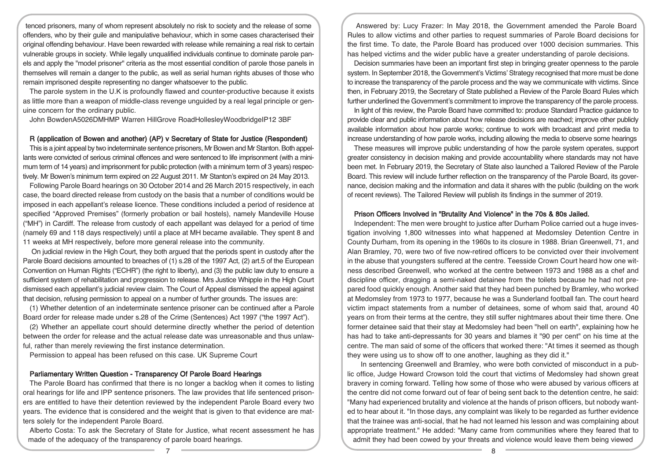tenced prisoners, many of whom represent absolutely no risk to society and the release of some offenders, who by their guile and manipulative behaviour, which in some cases characterised their original offending behaviour. Have been rewarded with release while remaining a real risk to certain vulnerable groups in society. While legally unqualified individuals continue to dominate parole panels and apply the "model prisoner" criteria as the most essential condition of parole those panels in themselves will remain a danger to the public, as well as serial human rights abuses of those who remain imprisoned despite representing no danger whatsoever to the public.

The parole system in the U.K is profoundly flawed and counter-productive because it exists as little more than a weapon of middle-class revenge unguided by a real legal principle or genuine concern for the ordinary public.

John BowdenA5026DMHMP Warren HillGrove RoadHollesleyWoodbridgeIP12 3BF

### R (application of Bowen and another) (AP) v Secretary of State for Justice (Respondent)

This is a joint appeal by two indeterminate sentence prisoners, Mr Bowen and Mr Stanton. Both appellants were convicted of serious criminal offences and were sentenced to life imprisonment (with a minimum term of 14 years) and imprisonment for public protection (with a minimum term of 3 years) respectively. Mr Bowen's minimum term expired on 22 August 2011. Mr Stanton's expired on 24 May 2013.

Following Parole Board hearings on 30 October 2014 and 26 March 2015 respectively, in each case, the board directed release from custody on the basis that a number of conditions would be imposed in each appellant's release licence. These conditions included a period of residence at specified "Approved Premises" (formerly probation or bail hostels), namely Mandeville House ("MH") in Cardiff. The release from custody of each appellant was delayed for a period of time (namely 69 and 118 days respectively) until a place at MH became available. They spent 8 and 11 weeks at MH respectively, before more general release into the community.

On judicial review in the High Court, they both argued that the periods spent in custody after the Parole Board decisions amounted to breaches of (1) s.28 of the 1997 Act, (2) art.5 of the European Convention on Human Rights ("ECHR") (the right to liberty), and (3) the public law duty to ensure a sufficient system of rehabilitation and progression to release. Mrs Justice Whipple in the High Court dismissed each appellant's judicial review claim. The Court of Appeal dismissed the appeal against that decision, refusing permission to appeal on a number of further grounds. The issues are:

(1) Whether detention of an indeterminate sentence prisoner can be continued after a Parole Board order for release made under s.28 of the Crime (Sentences) Act 1997 ("the 1997 Act").

(2) Whether an appellate court should determine directly whether the period of detention between the order for release and the actual release date was unreasonable and thus unlawful, rather than merely reviewing the first instance determination.

Permission to appeal has been refused on this case. UK Supreme Court

### Parliamentary Written Question - Transparency Of Parole Board Hearings

The Parole Board has confirmed that there is no longer a backlog when it comes to listing oral hearings for life and IPP sentence prisoners. The law provides that life sentenced prisoners are entitled to have their detention reviewed by the independent Parole Board every two years. The evidence that is considered and the weight that is given to that evidence are matters solely for the independent Parole Board.

Alberto Costa: To ask the Secretary of State for Justice, what recent assessment he has made of the adequacy of the transparency of parole board hearings.

Answered by: Lucy Frazer: In May 2018, the Government amended the Parole Board Rules to allow victims and other parties to request summaries of Parole Board decisions for the first time. To date, the Parole Board has produced over 1000 decision summaries. This has helped victims and the wider public have a greater understanding of parole decisions.

Decision summaries have been an important first step in bringing greater openness to the parole system. In September 2018, the Government's Victims' Strategy recognised that more must be done to increase the transparency of the parole process and the way we communicate with victims. Since then, in February 2019, the Secretary of State published a Review of the Parole Board Rules which further underlined the Government's commitment to improve the transparency of the parole process.

In light of this review, the Parole Board have committed to: produce Standard Practice guidance to provide clear and public information about how release decisions are reached; improve other publicly available information about how parole works; continue to work with broadcast and print media to increase understanding of how parole works, including allowing the media to observe some hearings

These measures will improve public understanding of how the parole system operates, support greater consistency in decision making and provide accountability where standards may not have been met. In February 2019, the Secretary of State also launched a Tailored Review of the Parole Board. This review will include further reflection on the transparency of the Parole Board, its governance, decision making and the information and data it shares with the public (building on the work of recent reviews). The Tailored Review will publish its findings in the summer of 2019.

### Prison Officers Involved in "Brutality And Violence" in the 70s & 80s Jailed.

Independent: The men were brought to justice after Durham Police carried out a huge investigation involving 1,800 witnesses into what happened at Medomsley Detention Centre in County Durham, from its opening in the 1960s to its closure in 1988. Brian Greenwell, 71, and Alan Bramley, 70, were two of five now-retired officers to be convicted over their involvement in the abuse that youngsters suffered at the centre. Teesside Crown Court heard how one witness described Greenwell, who worked at the centre between 1973 and 1988 as a chef and discipline officer, dragging a semi-naked detainee from the toilets because he had not prepared food quickly enough. Another said that they had been punched by Bramley, who worked at Medomsley from 1973 to 1977, because he was a Sunderland football fan. The court heard victim impact statements from a number of detainees, some of whom said that, around 40 years on from their terms at the centre, they still suffer nightmares about their time there. One former detainee said that their stay at Medomsley had been "hell on earth", explaining how he has had to take anti-depressants for 30 years and blames it "90 per cent" on his time at the centre. The man said of some of the officers that worked there: "At times it seemed as though they were using us to show off to one another, laughing as they did it."

In sentencing Greenwell and Bramley, who were both convicted of misconduct in a public office, Judge Howard Crowson told the court that victims of Medomsley had shown great bravery in coming forward. Telling how some of those who were abused by various officers at the centre did not come forward out of fear of being sent back to the detention centre, he said: "Many had experienced brutality and violence at the hands of prison officers, but nobody wanted to hear about it. "In those days, any complaint was likely to be regarded as further evidence that the trainee was anti-social, that he had not learned his lesson and was complaining about appropriate treatment." He added: "Many came from communities where they feared that to admit they had been cowed by your threats and violence would leave them being viewed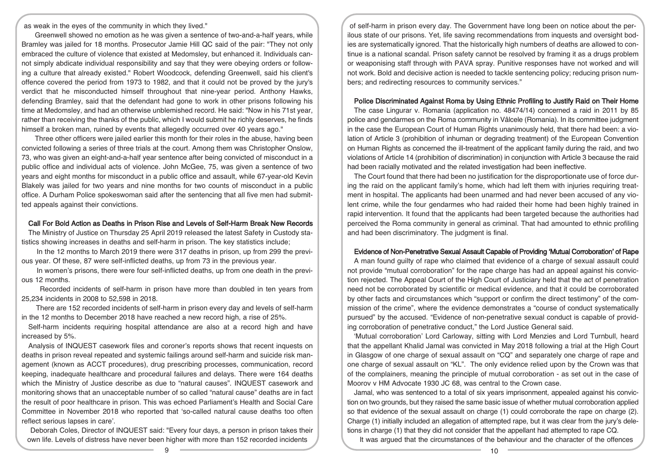as weak in the eyes of the community in which they lived."

Greenwell showed no emotion as he was given a sentence of two-and-a-half years, while Bramley was jailed for 18 months. Prosecutor Jamie Hill QC said of the pair: "They not only embraced the culture of violence that existed at Medomsley, but enhanced it. Individuals cannot simply abdicate individual responsibility and say that they were obeying orders or following a culture that already existed." Robert Woodcock, defending Greenwell, said his client's offence covered the period from 1973 to 1982, and that it could not be proved by the jury's verdict that he misconducted himself throughout that nine-year period. Anthony Hawks, defending Bramley, said that the defendant had gone to work in other prisons following his time at Medomsley, and had an otherwise unblemished record. He said: "Now in his 71st year, rather than receiving the thanks of the public, which I would submit he richly deserves, he finds himself a broken man, ruined by events that allegedly occurred over 40 years ago."

Three other officers were jailed earlier this month for their roles in the abuse, having been convicted following a series of three trials at the court. Among them was Christopher Onslow, 73, who was given an eight-and-a-half year sentence after being convicted of misconduct in a public office and individual acts of violence. John McGee, 75, was given a sentence of two years and eight months for misconduct in a public office and assault, while 67-year-old Kevin Blakely was jailed for two years and nine months for two counts of misconduct in a public office. A Durham Police spokeswoman said after the sentencing that all five men had submitted appeals against their convictions.

#### Call For Bold Action as Deaths in Prison Rise and Levels of Self-Harm Break New Records

The Ministry of Justice on Thursday 25 April 2019 released the latest Safety in Custody statistics showing increases in deaths and self-harm in prison. The key statistics include;

In the 12 months to March 2019 there were 317 deaths in prison, up from 299 the previous year. Of these, 87 were self-inflicted deaths, up from 73 in the previous year.

In women's prisons, there were four self-inflicted deaths, up from one death in the previous 12 months.

Recorded incidents of self-harm in prison have more than doubled in ten years from 25,234 incidents in 2008 to 52,598 in 2018.

There are 152 recorded incidents of self-harm in prison every day and levels of self-harm in the 12 months to December 2018 have reached a new record high, a rise of 25%.

Self-harm incidents requiring hospital attendance are also at a record high and have increased by 5%.

Analysis of INQUEST casework files and coroner's reports shows that recent inquests on deaths in prison reveal repeated and systemic failings around self-harm and suicide risk management (known as ACCT procedures), drug prescribing processes, communication, record keeping, inadequate healthcare and procedural failures and delays. There were 164 deaths which the Ministry of Justice describe as due to "natural causes". INQUEST casework and monitoring shows that an unacceptable number of so called "natural cause" deaths are in fact the result of poor healthcare in prison. This was echoed Parliament's Health and Social Care Committee in November 2018 who reported that 'so-called natural cause deaths too often reflect serious lapses in care'.

Deborah Coles, Director of INQUEST said: "Every four days, a person in prison takes their own life. Levels of distress have never been higher with more than 152 recorded incidents

of self-harm in prison every day. The Government have long been on notice about the perilous state of our prisons. Yet, life saving recommendations from inquests and oversight bodies are systematically ignored. That the historically high numbers of deaths are allowed to continue is a national scandal. Prison safety cannot be resolved by framing it as a drugs problem or weaponising staff through with PAVA spray. Punitive responses have not worked and will not work. Bold and decisive action is needed to tackle sentencing policy; reducing prison numbers; and redirecting resources to community services."

### Police Discriminated Against Roma by Using Ethnic Profiling to Justify Raid on Their Home

The case Lingurar v. Romania (application no. 48474/14) concerned a raid in 2011 by 85 police and gendarmes on the Roma community in Vâlcele (Romania). In its committee judgment in the case the European Court of Human Rights unanimously held, that there had been: a violation of Article 3 (prohibition of inhuman or degrading treatment) of the European Convention on Human Rights as concerned the ill-treatment of the applicant family during the raid, and two violations of Article 14 (prohibition of discrimination) in conjunction with Article 3 because the raid had been racially motivated and the related investigation had been ineffective.

The Court found that there had been no justification for the disproportionate use of force during the raid on the applicant family's home, which had left them with injuries requiring treatment in hospital. The applicants had been unarmed and had never been accused of any violent crime, while the four gendarmes who had raided their home had been highly trained in rapid intervention. It found that the applicants had been targeted because the authorities had perceived the Roma community in general as criminal. That had amounted to ethnic profiling and had been discriminatory. The judgment is final.

### Evidence of Non-Penetrative Sexual Assault Capable of Providing 'Mutual Corroboration' of Rape

A man found guilty of rape who claimed that evidence of a charge of sexual assault could not provide "mutual corroboration" for the rape charge has had an appeal against his conviction rejected. The Appeal Court of the High Court of Justiciary held that the act of penetration need not be corroborated by scientific or medical evidence, and that it could be corroborated by other facts and circumstances which "support or confirm the direct testimony" of the commission of the crime", where the evidence demonstrates a "course of conduct systematically pursued" by the accused. "Evidence of non-penetrative sexual conduct is capable of providing corroboration of penetrative conduct," the Lord Justice General said.

'Mutual corroboration' Lord Carloway, sitting with Lord Menzies and Lord Turnbull, heard that the appellant Khalid Jamal was convicted in May 2018 following a trial at the High Court in Glasgow of one charge of sexual assault on "CQ" and separately one charge of rape and one charge of sexual assault on "KL". The only evidence relied upon by the Crown was that of the complainers, meaning the principle of mutual corroboration - as set out in the case of Moorov v HM Advocate 1930 JC 68, was central to the Crown case.

Jamal, who was sentenced to a total of six years imprisonment, appealed against his conviction on two grounds, but they raised the same basic issue of whether mutual corroboration applied so that evidence of the sexual assault on charge (1) could corroborate the rape on charge (2). Charge (1) initially included an allegation of attempted rape, but it was clear from the jury's deletions in charge (1) that they did not consider that the appellant had attempted to rape CQ.

It was argued that the circumstances of the behaviour and the character of the offences